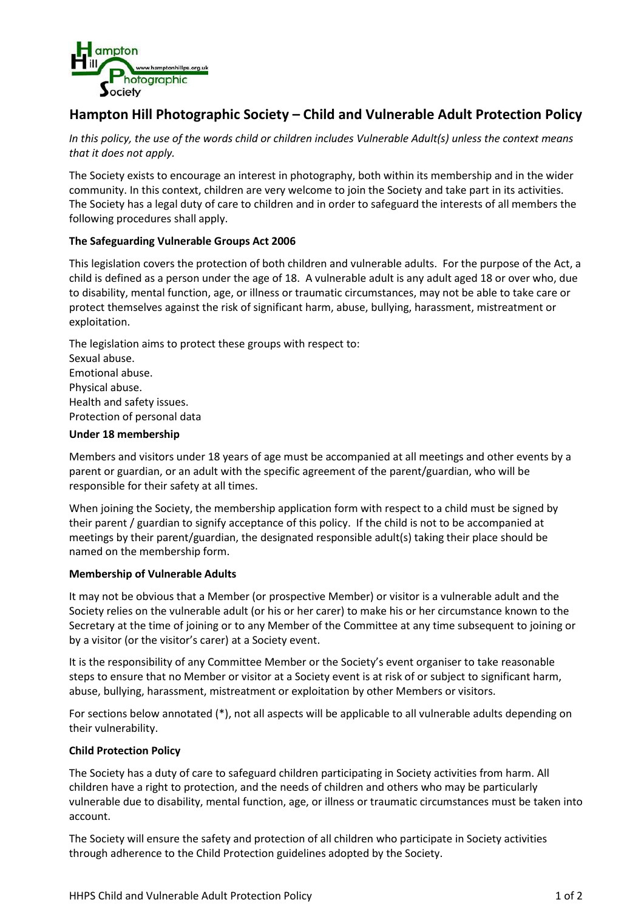

# **Hampton Hill Photographic Society – Child and Vulnerable Adult Protection Policy**

*In this policy, the use of the words child or children includes Vulnerable Adult(s) unless the context means that it does not apply.*

The Society exists to encourage an interest in photography, both within its membership and in the wider community. In this context, children are very welcome to join the Society and take part in its activities. The Society has a legal duty of care to children and in order to safeguard the interests of all members the following procedures shall apply.

## **The Safeguarding Vulnerable Groups Act 2006**

This legislation covers the protection of both children and vulnerable adults. For the purpose of the Act, a child is defined as a person under the age of 18. A vulnerable adult is any adult aged 18 or over who, due to disability, mental function, age, or illness or traumatic circumstances, may not be able to take care or protect themselves against the risk of significant harm, abuse, bullying, harassment, mistreatment or exploitation.

The legislation aims to protect these groups with respect to: Sexual abuse. Emotional abuse. Physical abuse. Health and safety issues. Protection of personal data

#### **Under 18 membership**

Members and visitors under 18 years of age must be accompanied at all meetings and other events by a parent or guardian, or an adult with the specific agreement of the parent/guardian, who will be responsible for their safety at all times.

When joining the Society, the membership application form with respect to a child must be signed by their parent / guardian to signify acceptance of this policy. If the child is not to be accompanied at meetings by their parent/guardian, the designated responsible adult(s) taking their place should be named on the membership form.

#### **Membership of Vulnerable Adults**

It may not be obvious that a Member (or prospective Member) or visitor is a vulnerable adult and the Society relies on the vulnerable adult (or his or her carer) to make his or her circumstance known to the Secretary at the time of joining or to any Member of the Committee at any time subsequent to joining or by a visitor (or the visitor's carer) at a Society event.

It is the responsibility of any Committee Member or the Society's event organiser to take reasonable steps to ensure that no Member or visitor at a Society event is at risk of or subject to significant harm, abuse, bullying, harassment, mistreatment or exploitation by other Members or visitors.

For sections below annotated (\*), not all aspects will be applicable to all vulnerable adults depending on their vulnerability.

#### **Child Protection Policy**

The Society has a duty of care to safeguard children participating in Society activities from harm. All children have a right to protection, and the needs of children and others who may be particularly vulnerable due to disability, mental function, age, or illness or traumatic circumstances must be taken into account.

The Society will ensure the safety and protection of all children who participate in Society activities through adherence to the Child Protection guidelines adopted by the Society.